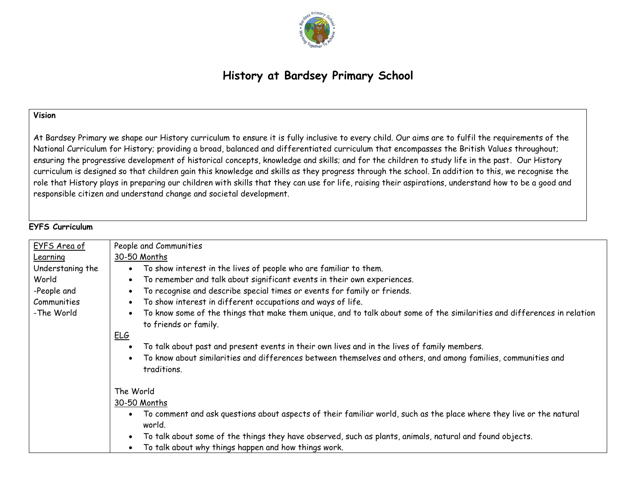

# **History at Bardsey Primary School**

### **Vision**

At Bardsey Primary we shape our History curriculum to ensure it is fully inclusive to every child. Our aims are to fulfil the requirements of the National Curriculum for History; providing a broad, balanced and differentiated curriculum that encompasses the British Values throughout; ensuring the progressive development of historical concepts, knowledge and skills; and for the children to study life in the past. Our History curriculum is designed so that children gain this knowledge and skills as they progress through the school. In addition to this, we recognise the role that History plays in preparing our children with skills that they can use for life, raising their aspirations, understand how to be a good and responsible citizen and understand change and societal development.

### **EYFS Curriculum**

| EYFS Area of     | People and Communities                                                                                                                                         |  |  |
|------------------|----------------------------------------------------------------------------------------------------------------------------------------------------------------|--|--|
| Learning         | 30-50 Months                                                                                                                                                   |  |  |
| Understaning the | To show interest in the lives of people who are familiar to them.<br>$\bullet$                                                                                 |  |  |
| World            | To remember and talk about significant events in their own experiences.<br>$\bullet$                                                                           |  |  |
| -People and      | To recognise and describe special times or events for family or friends.<br>$\bullet$                                                                          |  |  |
| Communities      | To show interest in different occupations and ways of life.<br>$\bullet$                                                                                       |  |  |
| -The World       | To know some of the things that make them unique, and to talk about some of the similarities and differences in relation<br>$\bullet$<br>to friends or family. |  |  |
|                  | <u>ELG</u>                                                                                                                                                     |  |  |
|                  | To talk about past and present events in their own lives and in the lives of family members.<br>$\bullet$                                                      |  |  |
|                  | To know about similarities and differences between themselves and others, and among families, communities and<br>$\bullet$<br>traditions.                      |  |  |
|                  | The World                                                                                                                                                      |  |  |
|                  | 30-50 Months                                                                                                                                                   |  |  |
|                  | To comment and ask questions about aspects of their familiar world, such as the place where they live or the natural<br>$\bullet$<br>world.                    |  |  |
|                  | To talk about some of the things they have observed, such as plants, animals, natural and found objects.<br>$\bullet$                                          |  |  |
|                  | To talk about why things happen and how things work.                                                                                                           |  |  |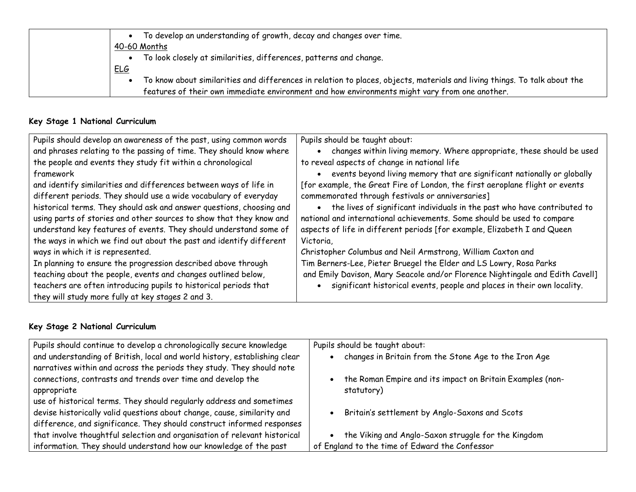| To develop an understanding of growth, decay and changes over time.                                                       |
|---------------------------------------------------------------------------------------------------------------------------|
| 40-60 Months                                                                                                              |
| To look closely at similarities, differences, patterns and change.                                                        |
| <u>ELG</u>                                                                                                                |
| To know about similarities and differences in relation to places, objects, materials and living things. To talk about the |
| features of their own immediate environment and how environments might vary from one another.                             |

# **Key Stage 1 National Curriculum**

| Pupils should develop an awareness of the past, using common words   | Pupils should be taught about:                                                |
|----------------------------------------------------------------------|-------------------------------------------------------------------------------|
| and phrases relating to the passing of time. They should know where  | changes within living memory. Where appropriate, these should be used         |
| the people and events they study fit within a chronological          | to reveal aspects of change in national life                                  |
| framework                                                            | events beyond living memory that are significant nationally or globally       |
| and identify similarities and differences between ways of life in    | [for example, the Great Fire of London, the first aeroplane flight or events  |
| different periods. They should use a wide vocabulary of everyday     | commemorated through festivals or anniversaries]                              |
| historical terms. They should ask and answer questions, choosing and | the lives of significant individuals in the past who have contributed to      |
| using parts of stories and other sources to show that they know and  | national and international achievements. Some should be used to compare       |
| understand key features of events. They should understand some of    | aspects of life in different periods [for example, Elizabeth I and Queen      |
| the ways in which we find out about the past and identify different  | Victoria.                                                                     |
| ways in which it is represented.                                     | Christopher Columbus and Neil Armstrong, William Caxton and                   |
| In planning to ensure the progression described above through        | Tim Berners-Lee, Pieter Bruegel the Elder and LS Lowry, Rosa Parks            |
| teaching about the people, events and changes outlined below,        | and Emily Davison, Mary Seacole and/or Florence Nightingale and Edith Cavell] |
| teachers are often introducing pupils to historical periods that     | significant historical events, people and places in their own locality.       |
| they will study more fully at key stages 2 and 3.                    |                                                                               |

# **Key Stage 2 National Curriculum**

| Pupils should continue to develop a chronologically secure knowledge      | Pupils should be taught about:                            |
|---------------------------------------------------------------------------|-----------------------------------------------------------|
| and understanding of British, local and world history, establishing clear | changes in Britain from the Stone Age to the Iron Age     |
| narratives within and across the periods they study. They should note     |                                                           |
| connections, contrasts and trends over time and develop the               | the Roman Empire and its impact on Britain Examples (non- |
| appropriate                                                               | statutory)                                                |
| use of historical terms. They should regularly address and sometimes      |                                                           |
| devise historically valid questions about change, cause, similarity and   | Britain's settlement by Anglo-Saxons and Scots            |
| difference, and significance. They should construct informed responses    |                                                           |
| that involve thoughtful selection and organisation of relevant historical | the Viking and Anglo-Saxon struggle for the Kingdom       |
| information. They should understand how our knowledge of the past         | of England to the time of Edward the Confessor            |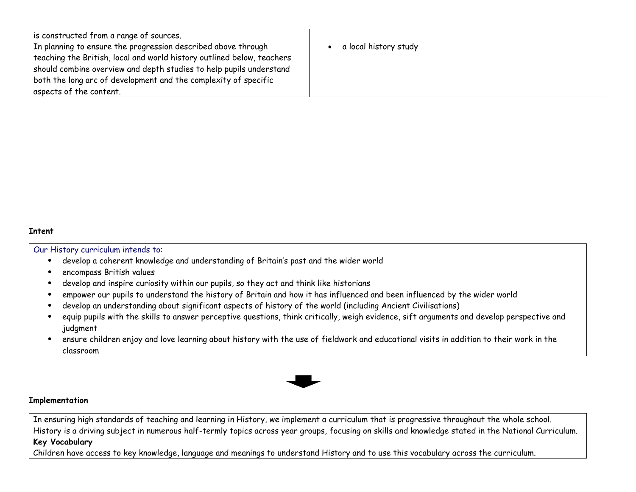| $\overline{1}$ is constructed from a range of sources.                 |                       |
|------------------------------------------------------------------------|-----------------------|
| In planning to ensure the progression described above through          | a local history study |
| teaching the British, local and world history outlined below, teachers |                       |
| should combine overview and depth studies to help pupils understand    |                       |
| both the long arc of development and the complexity of specific        |                       |
| aspects of the content.                                                |                       |

#### **Intent**

#### Our History curriculum intends to:

- develop a coherent knowledge and understanding of Britain's past and the wider world
- encompass British values
- develop and inspire curiosity within our pupils, so they act and think like historians
- empower our pupils to understand the history of Britain and how it has influenced and been influenced by the wider world
- develop an understanding about significant aspects of history of the world (including Ancient Civilisations)
- equip pupils with the skills to answer perceptive questions, think critically, weigh evidence, sift arguments and develop perspective and judgment
- ensure children enjoy and love learning about history with the use of fieldwork and educational visits in addition to their work in the classroom



#### **Implementation**

In ensuring high standards of teaching and learning in History, we implement a curriculum that is progressive throughout the whole school. History is a driving subject in numerous half-termly topics across year groups, focusing on skills and knowledge stated in the National Curriculum. **Key Vocabulary**

Children have access to key knowledge, language and meanings to understand History and to use this vocabulary across the curriculum.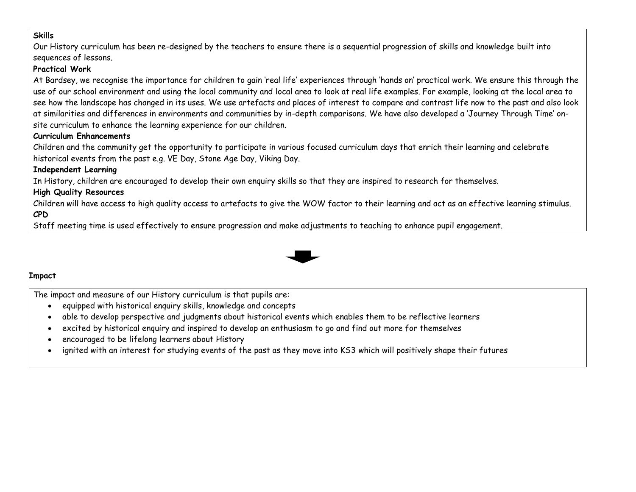### **Skills**

Our History curriculum has been re-designed by the teachers to ensure there is a sequential progression of skills and knowledge built into sequences of lessons. **Practical Work** At Bardsey, we recognise the importance for children to gain 'real life' experiences through 'hands on' practical work. We ensure this through the use of our school environment and using the local community and local area to look at real life examples. For example, looking at the local area to see how the landscape has changed in its uses. We use artefacts and places of interest to compare and contrast life now to the past and also look at similarities and differences in environments and communities by in-depth comparisons. We have also developed a 'Journey Through Time' onsite curriculum to enhance the learning experience for our children. **Curriculum Enhancements** Children and the community get the opportunity to participate in various focused curriculum days that enrich their learning and celebrate historical events from the past e.g. VE Day, Stone Age Day, Viking Day. **Independent Learning** In History, children are encouraged to develop their own enquiry skills so that they are inspired to research for themselves. **High Quality Resources** Children will have access to high quality access to artefacts to give the WOW factor to their learning and act as an effective learning stimulus. **CPD** Staff meeting time is used effectively to ensure progression and make adjustments to teaching to enhance pupil engagement.



# **Impact**

The impact and measure of our History curriculum is that pupils are:

- equipped with historical enquiry skills, knowledge and concepts
- able to develop perspective and judgments about historical events which enables them to be reflective learners
- excited by historical enquiry and inspired to develop an enthusiasm to go and find out more for themselves
- encouraged to be lifelong learners about History
- ignited with an interest for studying events of the past as they move into KS3 which will positively shape their futures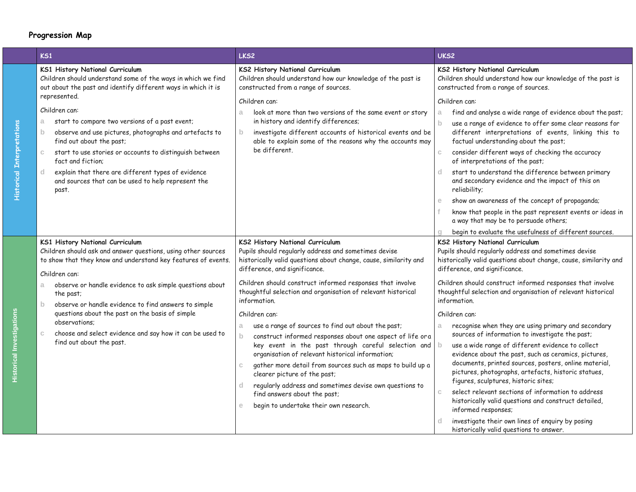# **Progression Map**

| KS1                                                                                                                                                                                                                                                                                                                                                                                                  | LKS <sub>2</sub>                                                                                                                                                                                                                                                                                                                                                                                                                                                                                                               | UKS2                                                                                                                                                                                                                                                                                                                                                                                                                                                                                                                                                                                                                                                                                                                 |
|------------------------------------------------------------------------------------------------------------------------------------------------------------------------------------------------------------------------------------------------------------------------------------------------------------------------------------------------------------------------------------------------------|--------------------------------------------------------------------------------------------------------------------------------------------------------------------------------------------------------------------------------------------------------------------------------------------------------------------------------------------------------------------------------------------------------------------------------------------------------------------------------------------------------------------------------|----------------------------------------------------------------------------------------------------------------------------------------------------------------------------------------------------------------------------------------------------------------------------------------------------------------------------------------------------------------------------------------------------------------------------------------------------------------------------------------------------------------------------------------------------------------------------------------------------------------------------------------------------------------------------------------------------------------------|
| KS1 History National Curriculum<br>Children should understand some of the ways in which we find<br>out about the past and identify different ways in which it is<br>represented.                                                                                                                                                                                                                     | KS2 History National Curriculum<br>Children should understand how our knowledge of the past is<br>constructed from a range of sources.                                                                                                                                                                                                                                                                                                                                                                                         | <b>KS2 History National Curriculum</b><br>Children should understand how our knowledge of the past is<br>constructed from a range of sources.                                                                                                                                                                                                                                                                                                                                                                                                                                                                                                                                                                        |
| Children can:<br>start to compare two versions of a past event;<br>a<br>observe and use pictures, photographs and artefacts to<br>$\mathbf{b}$<br>find out about the past;<br>start to use stories or accounts to distinguish between<br>$\mathbb{C}$<br>fact and fiction:<br>explain that there are different types of evidence<br>d<br>and sources that can be used to help represent the<br>past. | Children can:<br>look at more than two versions of the same event or story<br>a<br>in history and identify differences;<br>investigate different accounts of historical events and be<br>$\mathbf{b}$<br>able to explain some of the reasons why the accounts may<br>be different.                                                                                                                                                                                                                                             | Children can:<br>find and analyse a wide range of evidence about the past;<br>a<br>use a range of evidence to offer some clear reasons for<br>$\mathsf{b}$<br>different interpretations of events, linking this to<br>factual understanding about the past;<br>consider different ways of checking the accuracy<br>$\mathbb{C}$<br>of interpretations of the past;<br>start to understand the difference between primary<br>and secondary evidence and the impact of this on<br>reliability;<br>show an awareness of the concept of propaganda;<br>e<br>know that people in the past represent events or ideas in<br>a way that may be to persuade others;<br>begin to evaluate the usefulness of different sources. |
| KS1 History National Curriculum<br>Children should ask and answer questions, using other sources<br>to show that they know and understand key features of events.<br>Children can:                                                                                                                                                                                                                   | KS2 History National Curriculum<br>Pupils should regularly address and sometimes devise<br>historically valid questions about change, cause, similarity and<br>difference, and significance.<br>Children should construct informed responses that involve                                                                                                                                                                                                                                                                      | KS2 History National Curriculum<br>Pupils should regularly address and sometimes devise<br>historically valid questions about change, cause, similarity and<br>difference, and significance.<br>Children should construct informed responses that involve                                                                                                                                                                                                                                                                                                                                                                                                                                                            |
| observe or handle evidence to ask simple questions about<br>a.<br>the past;<br>observe or handle evidence to find answers to simple<br>$\mathbf b$                                                                                                                                                                                                                                                   | thoughtful selection and organisation of relevant historical<br>information.                                                                                                                                                                                                                                                                                                                                                                                                                                                   | thoughtful selection and organisation of relevant historical<br>information.                                                                                                                                                                                                                                                                                                                                                                                                                                                                                                                                                                                                                                         |
| questions about the past on the basis of simple<br>observations:<br>choose and select evidence and say how it can be used to<br>$\mathbb{C}$<br>find out about the past.                                                                                                                                                                                                                             | Children can:<br>use a range of sources to find out about the past;<br>a<br>construct informed responses about one aspect of life or a<br>$\mathbf b$<br>key event in the past through careful selection and<br>organisation of relevant historical information;<br>gather more detail from sources such as maps to build up a<br>$\mathbb{C}$<br>clearer picture of the past;<br>regularly address and sometimes devise own questions to<br>d.<br>find answers about the past;<br>begin to undertake their own research.<br>e | Children can:<br>recognise when they are using primary and secondary<br>a<br>sources of information to investigate the past;<br>use a wide range of different evidence to collect<br>evidence about the past, such as ceramics, pictures,<br>documents, printed sources, posters, online material,<br>pictures, photographs, artefacts, historic statues,<br>figures, sculptures, historic sites;<br>select relevant sections of information to address<br>$\mathbb{C}$<br>historically valid questions and construct detailed,<br>informed responses;<br>investigate their own lines of enquiry by posing<br>historically valid questions to answer.                                                                |

**Historical Interpretations**

**Historical Interpretations**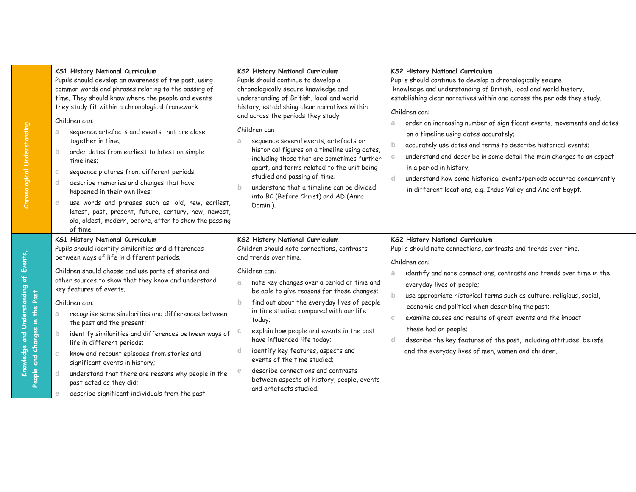|                                | KS1 History National Curriculum<br>Pupils should develop an awareness of the past, using<br>common words and phrases relating to the passing of<br>time. They should know where the people and events<br>they study fit within a chronological framework.<br>Children can:<br>sequence artefacts and events that are close<br>a<br>together in time;<br>order dates from earliest to latest on simple<br>$\mathbf{b}$<br>timelines:<br>sequence pictures from different periods;<br>$\mathbb C$<br>describe memories and changes that have<br><sub>d</sub><br>happened in their own lives;<br>use words and phrases such as: old, new, earliest,<br>$\mathbf{e}$<br>latest, past, present, future, century, new, newest,<br>old, oldest, modern, before, after to show the passing<br>of time. | KS2 History National Curriculum<br>Pupils should continue to develop a<br>chronologically secure knowledge and<br>understanding of British, local and world<br>history, establishing clear narratives within<br>and across the periods they study.<br>Children can:<br>sequence several events, artefacts or<br>a<br>historical figures on a timeline using dates,<br>including those that are sometimes further<br>apart, and terms related to the unit being<br>studied and passing of time;<br>understand that a timeline can be divided<br>b<br>into BC (Before Christ) and AD (Anno<br>Domini).                        | KS2 History National Curriculum<br>Pupils should continue to develop a chronologically secure<br>knowledge and understanding of British, local and world history,<br>establishing clear narratives within and across the periods they study.<br>Children can:<br>order an increasing number of significant events, movements and dates<br>a<br>on a timeline using dates accurately;<br>accurately use dates and terms to describe historical events;<br>$\mathsf{b}$<br>understand and describe in some detail the main changes to an aspect<br>in a period in history;<br>d<br>understand how some historical events/periods occurred concurrently<br>in different locations, e.g. Indus Valley and Ancient Egypt. |
|--------------------------------|------------------------------------------------------------------------------------------------------------------------------------------------------------------------------------------------------------------------------------------------------------------------------------------------------------------------------------------------------------------------------------------------------------------------------------------------------------------------------------------------------------------------------------------------------------------------------------------------------------------------------------------------------------------------------------------------------------------------------------------------------------------------------------------------|-----------------------------------------------------------------------------------------------------------------------------------------------------------------------------------------------------------------------------------------------------------------------------------------------------------------------------------------------------------------------------------------------------------------------------------------------------------------------------------------------------------------------------------------------------------------------------------------------------------------------------|----------------------------------------------------------------------------------------------------------------------------------------------------------------------------------------------------------------------------------------------------------------------------------------------------------------------------------------------------------------------------------------------------------------------------------------------------------------------------------------------------------------------------------------------------------------------------------------------------------------------------------------------------------------------------------------------------------------------|
| People and Changes in the Past | KS1 History National Curriculum<br>Pupils should identify similarities and differences<br>between ways of life in different periods.<br>Children should choose and use parts of stories and<br>other sources to show that they know and understand<br>key features of events.<br>Children can:<br>recognise some similarities and differences between<br>a<br>the past and the present;<br>identify similarities and differences between ways of<br>$\mathsf{b}$<br>life in different periods;<br>know and recount episodes from stories and<br>$\mathbb C$<br>significant events in history;<br>understand that there are reasons why people in the<br>d.<br>past acted as they did;<br>describe significant individuals from the past.<br>e                                                  | KS2 History National Curriculum<br>Children should note connections, contrasts<br>and trends over time.<br>Children can:<br>note key changes over a period of time and<br>a.<br>be able to give reasons for those changes;<br>find out about the everyday lives of people<br>$\mathsf{b}$<br>in time studied compared with our life<br>today;<br>explain how people and events in the past<br>C<br>have influenced life today;<br>identify key features, aspects and<br>d<br>events of the time studied:<br>describe connections and contrasts<br>e<br>between aspects of history, people, events<br>and artefacts studied. | <b>KS2 History National Curriculum</b><br>Pupils should note connections, contrasts and trends over time.<br>Children can:<br>identify and note connections, contrasts and trends over time in the<br>a<br>everyday lives of people;<br>use appropriate historical terms such as culture, religious, social,<br>b<br>economic and political when describing the past;<br>examine causes and results of great events and the impact<br>$\mathbb{C}$<br>these had on people;<br>describe the key features of the past, including attitudes, beliefs<br>d<br>and the everyday lives of men, women and children.                                                                                                         |

**Chronological Understanding**

Chronological Understanding

**Knowledge and Understanding of Events,** 

Knowledge and Understanding of Events, in the Dart